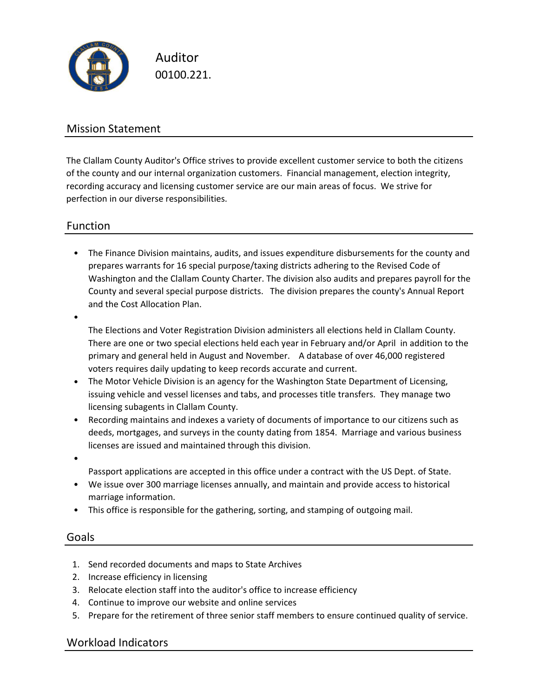

Auditor 00100.221.

## Mission Statement

The Clallam County Auditor's Office strives to provide excellent customer service to both the citizens of the county and our internal organization customers. Financial management, election integrity, recording accuracy and licensing customer service are our main areas of focus. We strive for perfection in our diverse responsibilities.

## Function

• The Finance Division maintains, audits, and issues expenditure disbursements for the county and prepares warrants for 16 special purpose/taxing districts adhering to the Revised Code of Washington and the Clallam County Charter. The division also audits and prepares payroll for the County and several special purpose districts. The division prepares the county's Annual Report and the Cost Allocation Plan.

•

The Elections and Voter Registration Division administers all elections held in Clallam County. There are one or two special elections held each year in February and/or April in addition to the primary and general held in August and November. A database of over 46,000 registered voters requires daily updating to keep records accurate and current.

- The Motor Vehicle Division is an agency for the Washington State Department of Licensing, issuing vehicle and vessel licenses and tabs, and processes title transfers. They manage two licensing subagents in Clallam County.
- Recording maintains and indexes a variety of documents of importance to our citizens such as deeds, mortgages, and surveys in the county dating from 1854. Marriage and various business licenses are issued and maintained through this division.
- •

Passport applications are accepted in this office under a contract with the US Dept. of State.

- We issue over 300 marriage licenses annually, and maintain and provide access to historical marriage information.
- This office is responsible for the gathering, sorting, and stamping of outgoing mail.

### Goals

- 1. Send recorded documents and maps to State Archives
- 2. Increase efficiency in licensing
- 3. Relocate election staff into the auditor's office to increase efficiency
- 4. Continue to improve our website and online services
- 5. Prepare for the retirement of three senior staff members to ensure continued quality of service.

### Workload Indicators